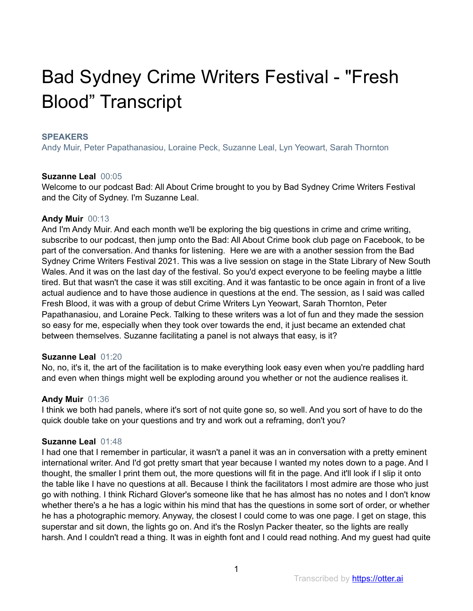# Bad Sydney Crime Writers Festival - "Fresh Blood" Transcript

#### **SPEAKERS**

Andy Muir, Peter Papathanasiou, Loraine Peck, Suzanne Leal, Lyn Yeowart, Sarah Thornton

#### **Suzanne Leal** 00:05

Welcome to our podcast Bad: All About Crime brought to you by Bad Sydney Crime Writers Festival and the City of Sydney. I'm Suzanne Leal.

#### **Andy Muir** 00:13

And I'm Andy Muir. And each month we'll be exploring the big questions in crime and crime writing, subscribe to our podcast, then jump onto the Bad: All About Crime book club page on Facebook, to be part of the conversation. And thanks for listening. Here we are with a another session from the Bad Sydney Crime Writers Festival 2021. This was a live session on stage in the State Library of New South Wales. And it was on the last day of the festival. So you'd expect everyone to be feeling maybe a little tired. But that wasn't the case it was still exciting. And it was fantastic to be once again in front of a live actual audience and to have those audience in questions at the end. The session, as I said was called Fresh Blood, it was with a group of debut Crime Writers Lyn Yeowart, Sarah Thornton, Peter Papathanasiou, and Loraine Peck. Talking to these writers was a lot of fun and they made the session so easy for me, especially when they took over towards the end, it just became an extended chat between themselves. Suzanne facilitating a panel is not always that easy, is it?

#### **Suzanne Leal** 01:20

No, no, it's it, the art of the facilitation is to make everything look easy even when you're paddling hard and even when things might well be exploding around you whether or not the audience realises it.

#### **Andy Muir** 01:36

I think we both had panels, where it's sort of not quite gone so, so well. And you sort of have to do the quick double take on your questions and try and work out a reframing, don't you?

#### **Suzanne Leal** 01:48

I had one that I remember in particular, it wasn't a panel it was an in conversation with a pretty eminent international writer. And I'd got pretty smart that year because I wanted my notes down to a page. And I thought, the smaller I print them out, the more questions will fit in the page. And it'll look if I slip it onto the table like I have no questions at all. Because I think the facilitators I most admire are those who just go with nothing. I think Richard Glover's someone like that he has almost has no notes and I don't know whether there's a he has a logic within his mind that has the questions in some sort of order, or whether he has a photographic memory. Anyway, the closest I could come to was one page. I get on stage, this superstar and sit down, the lights go on. And it's the Roslyn Packer theater, so the lights are really harsh. And I couldn't read a thing. It was in eighth font and I could read nothing. And my guest had quite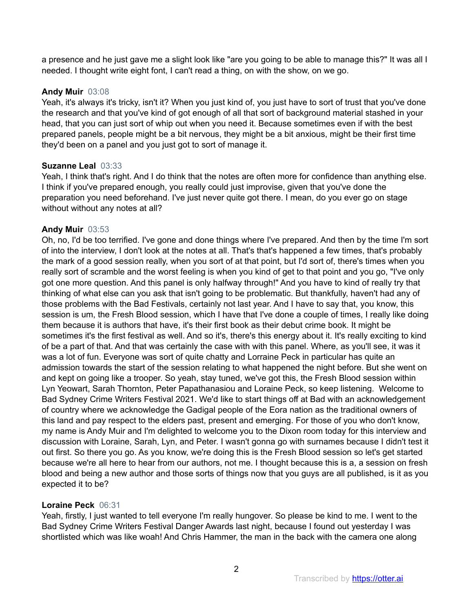a presence and he just gave me a slight look like "are you going to be able to manage this?" It was all I needed. I thought write eight font, I can't read a thing, on with the show, on we go.

# **Andy Muir** 03:08

Yeah, it's always it's tricky, isn't it? When you just kind of, you just have to sort of trust that you've done the research and that you've kind of got enough of all that sort of background material stashed in your head, that you can just sort of whip out when you need it. Because sometimes even if with the best prepared panels, people might be a bit nervous, they might be a bit anxious, might be their first time they'd been on a panel and you just got to sort of manage it.

# **Suzanne Leal** 03:33

Yeah, I think that's right. And I do think that the notes are often more for confidence than anything else. I think if you've prepared enough, you really could just improvise, given that you've done the preparation you need beforehand. I've just never quite got there. I mean, do you ever go on stage without without any notes at all?

# **Andy Muir** 03:53

Oh, no, I'd be too terrified. I've gone and done things where I've prepared. And then by the time I'm sort of into the interview, I don't look at the notes at all. That's that's happened a few times, that's probably the mark of a good session really, when you sort of at that point, but I'd sort of, there's times when you really sort of scramble and the worst feeling is when you kind of get to that point and you go, "I've only got one more question. And this panel is only halfway through!" And you have to kind of really try that thinking of what else can you ask that isn't going to be problematic. But thankfully, haven't had any of those problems with the Bad Festivals, certainly not last year. And I have to say that, you know, this session is um, the Fresh Blood session, which I have that I've done a couple of times, I really like doing them because it is authors that have, it's their first book as their debut crime book. It might be sometimes it's the first festival as well. And so it's, there's this energy about it. It's really exciting to kind of be a part of that. And that was certainly the case with with this panel. Where, as you'll see, it was it was a lot of fun. Everyone was sort of quite chatty and Lorraine Peck in particular has quite an admission towards the start of the session relating to what happened the night before. But she went on and kept on going like a trooper. So yeah, stay tuned, we've got this, the Fresh Blood session within Lyn Yeowart, Sarah Thornton, Peter Papathanasiou and Loraine Peck, so keep listening. Welcome to Bad Sydney Crime Writers Festival 2021. We'd like to start things off at Bad with an acknowledgement of country where we acknowledge the Gadigal people of the Eora nation as the traditional owners of this land and pay respect to the elders past, present and emerging. For those of you who don't know, my name is Andy Muir and I'm delighted to welcome you to the Dixon room today for this interview and discussion with Loraine, Sarah, Lyn, and Peter. I wasn't gonna go with surnames because I didn't test it out first. So there you go. As you know, we're doing this is the Fresh Blood session so let's get started because we're all here to hear from our authors, not me. I thought because this is a, a session on fresh blood and being a new author and those sorts of things now that you guys are all published, is it as you expected it to be?

# **Loraine Peck** 06:31

Yeah, firstly, I just wanted to tell everyone I'm really hungover. So please be kind to me. I went to the Bad Sydney Crime Writers Festival Danger Awards last night, because I found out yesterday I was shortlisted which was like woah! And Chris Hammer, the man in the back with the camera one along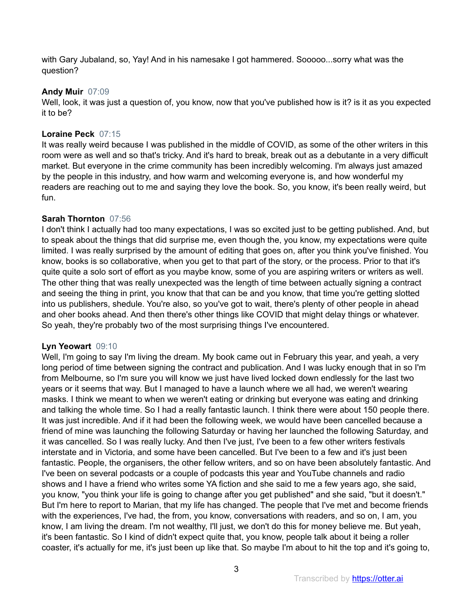with Gary Jubaland, so, Yay! And in his namesake I got hammered. Sooooo...sorry what was the question?

## **Andy Muir** 07:09

Well, look, it was just a question of, you know, now that you've published how is it? is it as you expected it to be?

# **Loraine Peck** 07:15

It was really weird because I was published in the middle of COVID, as some of the other writers in this room were as well and so that's tricky. And it's hard to break, break out as a debutante in a very difficult market. But everyone in the crime community has been incredibly welcoming. I'm always just amazed by the people in this industry, and how warm and welcoming everyone is, and how wonderful my readers are reaching out to me and saying they love the book. So, you know, it's been really weird, but fun.

# **Sarah Thornton** 07:56

I don't think I actually had too many expectations, I was so excited just to be getting published. And, but to speak about the things that did surprise me, even though the, you know, my expectations were quite limited. I was really surprised by the amount of editing that goes on, after you think you've finished. You know, books is so collaborative, when you get to that part of the story, or the process. Prior to that it's quite quite a solo sort of effort as you maybe know, some of you are aspiring writers or writers as well. The other thing that was really unexpected was the length of time between actually signing a contract and seeing the thing in print, you know that that can be and you know, that time you're getting slotted into us publishers, shedule. You're also, so you've got to wait, there's plenty of other people in ahead and oher books ahead. And then there's other things like COVID that might delay things or whatever. So yeah, they're probably two of the most surprising things I've encountered.

## **Lyn Yeowart** 09:10

Well, I'm going to say I'm living the dream. My book came out in February this year, and yeah, a very long period of time between signing the contract and publication. And I was lucky enough that in so I'm from Melbourne, so I'm sure you will know we just have lived locked down endlessly for the last two years or it seems that way. But I managed to have a launch where we all had, we weren't wearing masks. I think we meant to when we weren't eating or drinking but everyone was eating and drinking and talking the whole time. So I had a really fantastic launch. I think there were about 150 people there. It was just incredible. And if it had been the following week, we would have been cancelled because a friend of mine was launching the following Saturday or having her launched the following Saturday, and it was cancelled. So I was really lucky. And then I've just, I've been to a few other writers festivals interstate and in Victoria, and some have been cancelled. But I've been to a few and it's just been fantastic. People, the organisers, the other fellow writers, and so on have been absolutely fantastic. And I've been on several podcasts or a couple of podcasts this year and YouTube channels and radio shows and I have a friend who writes some YA fiction and she said to me a few years ago, she said, you know, "you think your life is going to change after you get published" and she said, "but it doesn't." But I'm here to report to Marian, that my life has changed. The people that I've met and become friends with the experiences, I've had, the from, you know, conversations with readers, and so on, I am, you know, I am living the dream. I'm not wealthy, I'll just, we don't do this for money believe me. But yeah, it's been fantastic. So I kind of didn't expect quite that, you know, people talk about it being a roller coaster, it's actually for me, it's just been up like that. So maybe I'm about to hit the top and it's going to,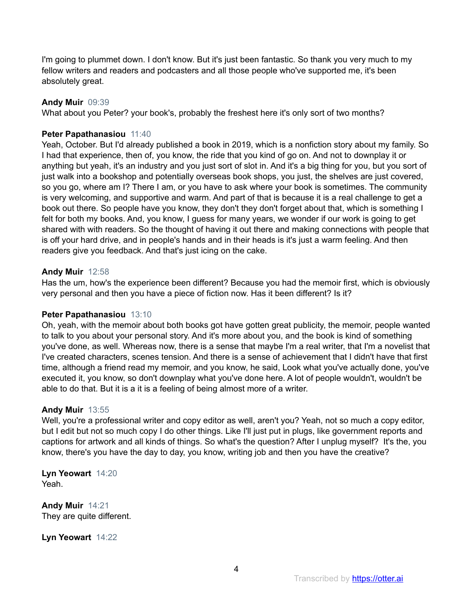I'm going to plummet down. I don't know. But it's just been fantastic. So thank you very much to my fellow writers and readers and podcasters and all those people who've supported me, it's been absolutely great.

#### **Andy Muir** 09:39

What about you Peter? your book's, probably the freshest here it's only sort of two months?

#### **Peter Papathanasiou** 11:40

Yeah, October. But I'd already published a book in 2019, which is a nonfiction story about my family. So I had that experience, then of, you know, the ride that you kind of go on. And not to downplay it or anything but yeah, it's an industry and you just sort of slot in. And it's a big thing for you, but you sort of just walk into a bookshop and potentially overseas book shops, you just, the shelves are just covered, so you go, where am I? There I am, or you have to ask where your book is sometimes. The community is very welcoming, and supportive and warm. And part of that is because it is a real challenge to get a book out there. So people have you know, they don't they don't forget about that, which is something I felt for both my books. And, you know, I guess for many years, we wonder if our work is going to get shared with with readers. So the thought of having it out there and making connections with people that is off your hard drive, and in people's hands and in their heads is it's just a warm feeling. And then readers give you feedback. And that's just icing on the cake.

#### **Andy Muir** 12:58

Has the um, how's the experience been different? Because you had the memoir first, which is obviously very personal and then you have a piece of fiction now. Has it been different? Is it?

#### **Peter Papathanasiou** 13:10

Oh, yeah, with the memoir about both books got have gotten great publicity, the memoir, people wanted to talk to you about your personal story. And it's more about you, and the book is kind of something you've done, as well. Whereas now, there is a sense that maybe I'm a real writer, that I'm a novelist that I've created characters, scenes tension. And there is a sense of achievement that I didn't have that first time, although a friend read my memoir, and you know, he said, Look what you've actually done, you've executed it, you know, so don't downplay what you've done here. A lot of people wouldn't, wouldn't be able to do that. But it is a it is a feeling of being almost more of a writer.

#### **Andy Muir** 13:55

Well, you're a professional writer and copy editor as well, aren't you? Yeah, not so much a copy editor, but I edit but not so much copy I do other things. Like I'll just put in plugs, like government reports and captions for artwork and all kinds of things. So what's the question? After I unplug myself? It's the, you know, there's you have the day to day, you know, writing job and then you have the creative?

**Lyn Yeowart** 14:20 Yeah.

**Andy Muir** 14:21 They are quite different.

**Lyn Yeowart** 14:22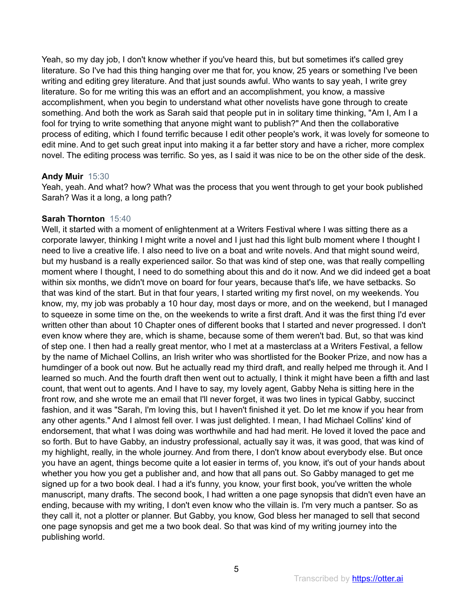Yeah, so my day job, I don't know whether if you've heard this, but but sometimes it's called grey literature. So I've had this thing hanging over me that for, you know, 25 years or something I've been writing and editing grey literature. And that just sounds awful. Who wants to say yeah, I write grey literature. So for me writing this was an effort and an accomplishment, you know, a massive accomplishment, when you begin to understand what other novelists have gone through to create something. And both the work as Sarah said that people put in in solitary time thinking, "Am I, Am I a fool for trying to write something that anyone might want to publish?" And then the collaborative process of editing, which I found terrific because I edit other people's work, it was lovely for someone to edit mine. And to get such great input into making it a far better story and have a richer, more complex novel. The editing process was terrific. So yes, as I said it was nice to be on the other side of the desk.

#### **Andy Muir** 15:30

Yeah, yeah. And what? how? What was the process that you went through to get your book published Sarah? Was it a long, a long path?

#### **Sarah Thornton** 15:40

Well, it started with a moment of enlightenment at a Writers Festival where I was sitting there as a corporate lawyer, thinking I might write a novel and I just had this light bulb moment where I thought I need to live a creative life. I also need to live on a boat and write novels. And that might sound weird, but my husband is a really experienced sailor. So that was kind of step one, was that really compelling moment where I thought, I need to do something about this and do it now. And we did indeed get a boat within six months, we didn't move on board for four years, because that's life, we have setbacks. So that was kind of the start. But in that four years, I started writing my first novel, on my weekends. You know, my, my job was probably a 10 hour day, most days or more, and on the weekend, but I managed to squeeze in some time on the, on the weekends to write a first draft. And it was the first thing I'd ever written other than about 10 Chapter ones of different books that I started and never progressed. I don't even know where they are, which is shame, because some of them weren't bad. But, so that was kind of step one. I then had a really great mentor, who I met at a masterclass at a Writers Festival, a fellow by the name of Michael Collins, an Irish writer who was shortlisted for the Booker Prize, and now has a humdinger of a book out now. But he actually read my third draft, and really helped me through it. And I learned so much. And the fourth draft then went out to actually, I think it might have been a fifth and last count, that went out to agents. And I have to say, my lovely agent, Gabby Neha is sitting here in the front row, and she wrote me an email that I'll never forget, it was two lines in typical Gabby, succinct fashion, and it was "Sarah, I'm loving this, but I haven't finished it yet. Do let me know if you hear from any other agents." And I almost fell over. I was just delighted. I mean, I had Michael Collins' kind of endorsement, that what I was doing was worthwhile and had had merit. He loved it loved the pace and so forth. But to have Gabby, an industry professional, actually say it was, it was good, that was kind of my highlight, really, in the whole journey. And from there, I don't know about everybody else. But once you have an agent, things become quite a lot easier in terms of, you know, it's out of your hands about whether you how you get a publisher and, and how that all pans out. So Gabby managed to get me signed up for a two book deal. I had a it's funny, you know, your first book, you've written the whole manuscript, many drafts. The second book, I had written a one page synopsis that didn't even have an ending, because with my writing, I don't even know who the villain is. I'm very much a pantser. So as they call it, not a plotter or planner. But Gabby, you know, God bless her managed to sell that second one page synopsis and get me a two book deal. So that was kind of my writing journey into the publishing world.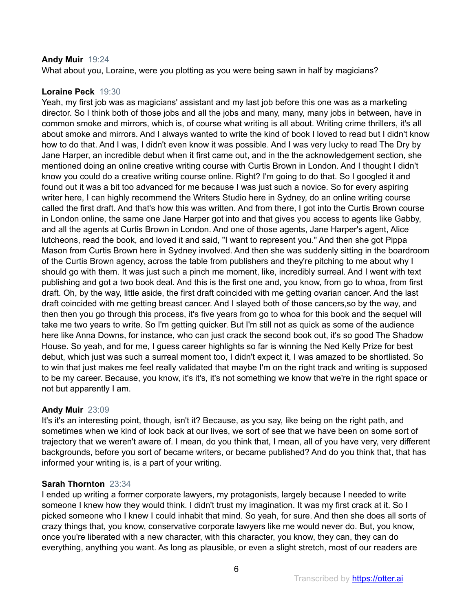## **Andy Muir** 19:24

What about you, Loraine, were you plotting as you were being sawn in half by magicians?

# **Loraine Peck** 19:30

Yeah, my first job was as magicians' assistant and my last job before this one was as a marketing director. So I think both of those jobs and all the jobs and many, many, many jobs in between, have in common smoke and mirrors, which is, of course what writing is all about. Writing crime thrillers, it's all about smoke and mirrors. And I always wanted to write the kind of book I loved to read but I didn't know how to do that. And I was, I didn't even know it was possible. And I was very lucky to read The Dry by Jane Harper, an incredible debut when it first came out, and in the the acknowledgement section, she mentioned doing an online creative writing course with Curtis Brown in London. And I thought I didn't know you could do a creative writing course online. Right? I'm going to do that. So I googled it and found out it was a bit too advanced for me because I was just such a novice. So for every aspiring writer here, I can highly recommend the Writers Studio here in Sydney, do an online writing course called the first draft. And that's how this was written. And from there, I got into the Curtis Brown course in London online, the same one Jane Harper got into and that gives you access to agents like Gabby, and all the agents at Curtis Brown in London. And one of those agents, Jane Harper's agent, Alice lutcheons, read the book, and loved it and said, "I want to represent you." And then she got Pippa Mason from Curtis Brown here in Sydney involved. And then she was suddenly sitting in the boardroom of the Curtis Brown agency, across the table from publishers and they're pitching to me about why I should go with them. It was just such a pinch me moment, like, incredibly surreal. And I went with text publishing and got a two book deal. And this is the first one and, you know, from go to whoa, from first draft. Oh, by the way, little aside, the first draft coincided with me getting ovarian cancer. And the last draft coincided with me getting breast cancer. And I slayed both of those cancers,so by the way, and then then you go through this process, it's five years from go to whoa for this book and the sequel will take me two years to write. So I'm getting quicker. But I'm still not as quick as some of the audience here like Anna Downs, for instance, who can just crack the second book out, it's so good The Shadow House. So yeah, and for me, I guess career highlights so far is winning the Ned Kelly Prize for best debut, which just was such a surreal moment too, I didn't expect it, I was amazed to be shortlisted. So to win that just makes me feel really validated that maybe I'm on the right track and writing is supposed to be my career. Because, you know, it's it's, it's not something we know that we're in the right space or not but apparently I am.

# **Andy Muir** 23:09

It's it's an interesting point, though, isn't it? Because, as you say, like being on the right path, and sometimes when we kind of look back at our lives, we sort of see that we have been on some sort of trajectory that we weren't aware of. I mean, do you think that, I mean, all of you have very, very different backgrounds, before you sort of became writers, or became published? And do you think that, that has informed your writing is, is a part of your writing.

# **Sarah Thornton** 23:34

I ended up writing a former corporate lawyers, my protagonists, largely because I needed to write someone I knew how they would think. I didn't trust my imagination. It was my first crack at it. So I picked someone who I knew I could inhabit that mind. So yeah, for sure. And then she does all sorts of crazy things that, you know, conservative corporate lawyers like me would never do. But, you know, once you're liberated with a new character, with this character, you know, they can, they can do everything, anything you want. As long as plausible, or even a slight stretch, most of our readers are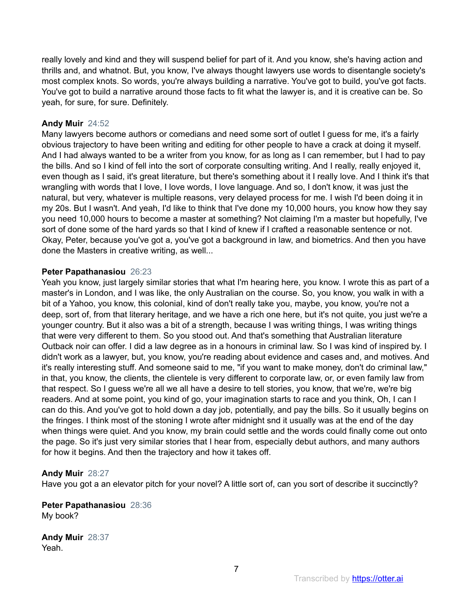really lovely and kind and they will suspend belief for part of it. And you know, she's having action and thrills and, and whatnot. But, you know, I've always thought lawyers use words to disentangle society's most complex knots. So words, you're always building a narrative. You've got to build, you've got facts. You've got to build a narrative around those facts to fit what the lawyer is, and it is creative can be. So yeah, for sure, for sure. Definitely.

## **Andy Muir** 24:52

Many lawyers become authors or comedians and need some sort of outlet I guess for me, it's a fairly obvious trajectory to have been writing and editing for other people to have a crack at doing it myself. And I had always wanted to be a writer from you know, for as long as I can remember, but I had to pay the bills. And so I kind of fell into the sort of corporate consulting writing. And I really, really enjoyed it, even though as I said, it's great literature, but there's something about it I really love. And I think it's that wrangling with words that I love, I love words, I love language. And so, I don't know, it was just the natural, but very, whatever is multiple reasons, very delayed process for me. I wish I'd been doing it in my 20s. But I wasn't. And yeah, I'd like to think that I've done my 10,000 hours, you know how they say you need 10,000 hours to become a master at something? Not claiming I'm a master but hopefully, I've sort of done some of the hard yards so that I kind of knew if I crafted a reasonable sentence or not. Okay, Peter, because you've got a, you've got a background in law, and biometrics. And then you have done the Masters in creative writing, as well...

## **Peter Papathanasiou** 26:23

Yeah you know, just largely similar stories that what I'm hearing here, you know. I wrote this as part of a master's in London, and I was like, the only Australian on the course. So, you know, you walk in with a bit of a Yahoo, you know, this colonial, kind of don't really take you, maybe, you know, you're not a deep, sort of, from that literary heritage, and we have a rich one here, but it's not quite, you just we're a younger country. But it also was a bit of a strength, because I was writing things, I was writing things that were very different to them. So you stood out. And that's something that Australian literature Outback noir can offer. I did a law degree as in a honours in criminal law. So I was kind of inspired by. I didn't work as a lawyer, but, you know, you're reading about evidence and cases and, and motives. And it's really interesting stuff. And someone said to me, "if you want to make money, don't do criminal law," in that, you know, the clients, the clientele is very different to corporate law, or, or even family law from that respect. So I guess we're all we all have a desire to tell stories, you know, that we're, we're big readers. And at some point, you kind of go, your imagination starts to race and you think, Oh, I can I can do this. And you've got to hold down a day job, potentially, and pay the bills. So it usually begins on the fringes. I think most of the stoning I wrote after midnight snd it usually was at the end of the day when things were quiet. And you know, my brain could settle and the words could finally come out onto the page. So it's just very similar stories that I hear from, especially debut authors, and many authors for how it begins. And then the trajectory and how it takes off.

## **Andy Muir** 28:27

Have you got a an elevator pitch for your novel? A little sort of, can you sort of describe it succinctly?

# **Peter Papathanasiou** 28:36 My book?

**Andy Muir** 28:37 Yeah.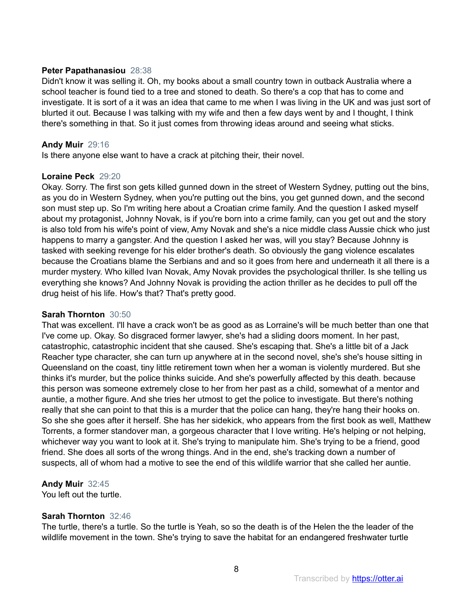#### **Peter Papathanasiou** 28:38

Didn't know it was selling it. Oh, my books about a small country town in outback Australia where a school teacher is found tied to a tree and stoned to death. So there's a cop that has to come and investigate. It is sort of a it was an idea that came to me when I was living in the UK and was just sort of blurted it out. Because I was talking with my wife and then a few days went by and I thought, I think there's something in that. So it just comes from throwing ideas around and seeing what sticks.

#### **Andy Muir** 29:16

Is there anyone else want to have a crack at pitching their, their novel.

#### **Loraine Peck** 29:20

Okay. Sorry. The first son gets killed gunned down in the street of Western Sydney, putting out the bins, as you do in Western Sydney, when you're putting out the bins, you get gunned down, and the second son must step up. So I'm writing here about a Croatian crime family. And the question I asked myself about my protagonist, Johnny Novak, is if you're born into a crime family, can you get out and the story is also told from his wife's point of view, Amy Novak and she's a nice middle class Aussie chick who just happens to marry a gangster. And the question I asked her was, will you stay? Because Johnny is tasked with seeking revenge for his elder brother's death. So obviously the gang violence escalates because the Croatians blame the Serbians and and so it goes from here and underneath it all there is a murder mystery. Who killed Ivan Novak, Amy Novak provides the psychological thriller. Is she telling us everything she knows? And Johnny Novak is providing the action thriller as he decides to pull off the drug heist of his life. How's that? That's pretty good.

#### **Sarah Thornton** 30:50

That was excellent. I'll have a crack won't be as good as as Lorraine's will be much better than one that I've come up. Okay. So disgraced former lawyer, she's had a sliding doors moment. In her past, catastrophic, catastrophic incident that she caused. She's escaping that. She's a little bit of a Jack Reacher type character, she can turn up anywhere at in the second novel, she's she's house sitting in Queensland on the coast, tiny little retirement town when her a woman is violently murdered. But she thinks it's murder, but the police thinks suicide. And she's powerfully affected by this death. because this person was someone extremely close to her from her past as a child, somewhat of a mentor and auntie, a mother figure. And she tries her utmost to get the police to investigate. But there's nothing really that she can point to that this is a murder that the police can hang, they're hang their hooks on. So she she goes after it herself. She has her sidekick, who appears from the first book as well, Matthew Torrents, a former standover man, a gorgeous character that I love writing. He's helping or not helping, whichever way you want to look at it. She's trying to manipulate him. She's trying to be a friend, good friend. She does all sorts of the wrong things. And in the end, she's tracking down a number of suspects, all of whom had a motive to see the end of this wildlife warrior that she called her auntie.

## **Andy Muir** 32:45

You left out the turtle.

## **Sarah Thornton** 32:46

The turtle, there's a turtle. So the turtle is Yeah, so so the death is of the Helen the the leader of the wildlife movement in the town. She's trying to save the habitat for an endangered freshwater turtle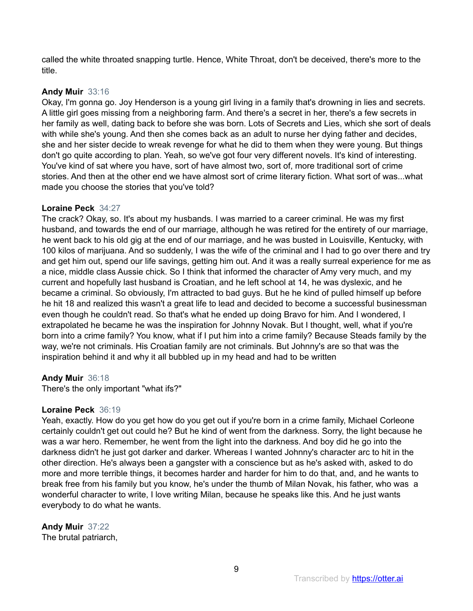called the white throated snapping turtle. Hence, White Throat, don't be deceived, there's more to the title.

## **Andy Muir** 33:16

Okay, I'm gonna go. Joy Henderson is a young girl living in a family that's drowning in lies and secrets. A little girl goes missing from a neighboring farm. And there's a secret in her, there's a few secrets in her family as well, dating back to before she was born. Lots of Secrets and Lies, which she sort of deals with while she's young. And then she comes back as an adult to nurse her dying father and decides, she and her sister decide to wreak revenge for what he did to them when they were young. But things don't go quite according to plan. Yeah, so we've got four very different novels. It's kind of interesting. You've kind of sat where you have, sort of have almost two, sort of, more traditional sort of crime stories. And then at the other end we have almost sort of crime literary fiction. What sort of was...what made you choose the stories that you've told?

## **Loraine Peck** 34:27

The crack? Okay, so. It's about my husbands. I was married to a career criminal. He was my first husband, and towards the end of our marriage, although he was retired for the entirety of our marriage, he went back to his old gig at the end of our marriage, and he was busted in Louisville, Kentucky, with 100 kilos of marijuana. And so suddenly, I was the wife of the criminal and I had to go over there and try and get him out, spend our life savings, getting him out. And it was a really surreal experience for me as a nice, middle class Aussie chick. So I think that informed the character of Amy very much, and my current and hopefully last husband is Croatian, and he left school at 14, he was dyslexic, and he became a criminal. So obviously, I'm attracted to bad guys. But he he kind of pulled himself up before he hit 18 and realized this wasn't a great life to lead and decided to become a successful businessman even though he couldn't read. So that's what he ended up doing Bravo for him. And I wondered, I extrapolated he became he was the inspiration for Johnny Novak. But I thought, well, what if you're born into a crime family? You know, what if I put him into a crime family? Because Steads family by the way, we're not criminals. His Croatian family are not criminals. But Johnny's are so that was the inspiration behind it and why it all bubbled up in my head and had to be written

# **Andy Muir** 36:18

There's the only important "what ifs?"

## **Loraine Peck** 36:19

Yeah, exactly. How do you get how do you get out if you're born in a crime family, Michael Corleone certainly couldn't get out could he? But he kind of went from the darkness. Sorry, the light because he was a war hero. Remember, he went from the light into the darkness. And boy did he go into the darkness didn't he just got darker and darker. Whereas I wanted Johnny's character arc to hit in the other direction. He's always been a gangster with a conscience but as he's asked with, asked to do more and more terrible things, it becomes harder and harder for him to do that, and, and he wants to break free from his family but you know, he's under the thumb of Milan Novak, his father, who was a wonderful character to write, I love writing Milan, because he speaks like this. And he just wants everybody to do what he wants.

**Andy Muir** 37:22 The brutal patriarch,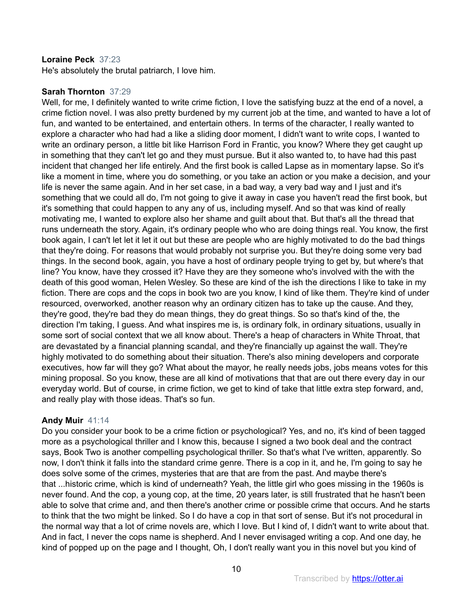## **Loraine Peck** 37:23

He's absolutely the brutal patriarch, I love him.

## **Sarah Thornton** 37:29

Well, for me, I definitely wanted to write crime fiction, I love the satisfying buzz at the end of a novel, a crime fiction novel. I was also pretty burdened by my current job at the time, and wanted to have a lot of fun, and wanted to be entertained, and entertain others. In terms of the character, I really wanted to explore a character who had had a like a sliding door moment, I didn't want to write cops, I wanted to write an ordinary person, a little bit like Harrison Ford in Frantic, you know? Where they get caught up in something that they can't let go and they must pursue. But it also wanted to, to have had this past incident that changed her life entirely. And the first book is called Lapse as in momentary lapse. So it's like a moment in time, where you do something, or you take an action or you make a decision, and your life is never the same again. And in her set case, in a bad way, a very bad way and I just and it's something that we could all do, I'm not going to give it away in case you haven't read the first book, but it's something that could happen to any any of us, including myself. And so that was kind of really motivating me, I wanted to explore also her shame and guilt about that. But that's all the thread that runs underneath the story. Again, it's ordinary people who who are doing things real. You know, the first book again, I can't let let it let it out but these are people who are highly motivated to do the bad things that they're doing. For reasons that would probably not surprise you. But they're doing some very bad things. In the second book, again, you have a host of ordinary people trying to get by, but where's that line? You know, have they crossed it? Have they are they someone who's involved with the with the death of this good woman, Helen Wesley. So these are kind of the ish the directions I like to take in my fiction. There are cops and the cops in book two are you know, I kind of like them. They're kind of under resourced, overworked, another reason why an ordinary citizen has to take up the cause. And they, they're good, they're bad they do mean things, they do great things. So so that's kind of the, the direction I'm taking, I guess. And what inspires me is, is ordinary folk, in ordinary situations, usually in some sort of social context that we all know about. There's a heap of characters in White Throat, that are devastated by a financial planning scandal, and they're financially up against the wall. They're highly motivated to do something about their situation. There's also mining developers and corporate executives, how far will they go? What about the mayor, he really needs jobs, jobs means votes for this mining proposal. So you know, these are all kind of motivations that that are out there every day in our everyday world. But of course, in crime fiction, we get to kind of take that little extra step forward, and, and really play with those ideas. That's so fun.

## **Andy Muir** 41:14

Do you consider your book to be a crime fiction or psychological? Yes, and no, it's kind of been tagged more as a psychological thriller and I know this, because I signed a two book deal and the contract says, Book Two is another compelling psychological thriller. So that's what I've written, apparently. So now, I don't think it falls into the standard crime genre. There is a cop in it, and he, I'm going to say he does solve some of the crimes, mysteries that are that are from the past. And maybe there's that ...historic crime, which is kind of underneath? Yeah, the little girl who goes missing in the 1960s is never found. And the cop, a young cop, at the time, 20 years later, is still frustrated that he hasn't been able to solve that crime and, and then there's another crime or possible crime that occurs. And he starts to think that the two might be linked. So I do have a cop in that sort of sense. But it's not procedural in the normal way that a lot of crime novels are, which I love. But I kind of, I didn't want to write about that. And in fact, I never the cops name is shepherd. And I never envisaged writing a cop. And one day, he kind of popped up on the page and I thought, Oh, I don't really want you in this novel but you kind of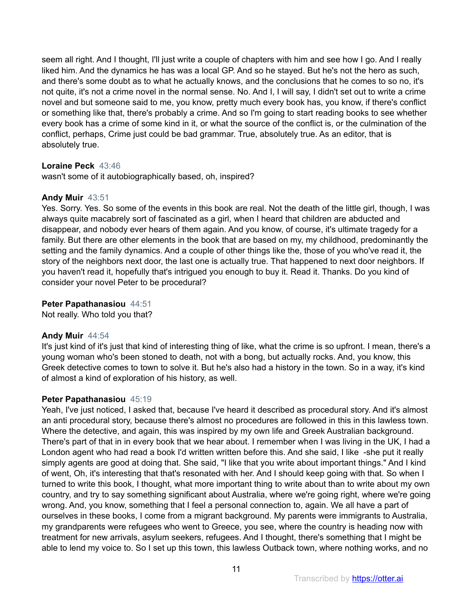seem all right. And I thought, I'll just write a couple of chapters with him and see how I go. And I really liked him. And the dynamics he has was a local GP. And so he stayed. But he's not the hero as such, and there's some doubt as to what he actually knows, and the conclusions that he comes to so no, it's not quite, it's not a crime novel in the normal sense. No. And I, I will say, I didn't set out to write a crime novel and but someone said to me, you know, pretty much every book has, you know, if there's conflict or something like that, there's probably a crime. And so I'm going to start reading books to see whether every book has a crime of some kind in it, or what the source of the conflict is, or the culmination of the conflict, perhaps, Crime just could be bad grammar. True, absolutely true. As an editor, that is absolutely true.

## **Loraine Peck** 43:46

wasn't some of it autobiographically based, oh, inspired?

## **Andy Muir** 43:51

Yes. Sorry. Yes. So some of the events in this book are real. Not the death of the little girl, though, I was always quite macabrely sort of fascinated as a girl, when I heard that children are abducted and disappear, and nobody ever hears of them again. And you know, of course, it's ultimate tragedy for a family. But there are other elements in the book that are based on my, my childhood, predominantly the setting and the family dynamics. And a couple of other things like the, those of you who've read it, the story of the neighbors next door, the last one is actually true. That happened to next door neighbors. If you haven't read it, hopefully that's intrigued you enough to buy it. Read it. Thanks. Do you kind of consider your novel Peter to be procedural?

## **Peter Papathanasiou** 44:51

Not really. Who told you that?

## **Andy Muir** 44:54

It's just kind of it's just that kind of interesting thing of like, what the crime is so upfront. I mean, there's a young woman who's been stoned to death, not with a bong, but actually rocks. And, you know, this Greek detective comes to town to solve it. But he's also had a history in the town. So in a way, it's kind of almost a kind of exploration of his history, as well.

## **Peter Papathanasiou** 45:19

Yeah, I've just noticed, I asked that, because I've heard it described as procedural story. And it's almost an anti procedural story, because there's almost no procedures are followed in this in this lawless town. Where the detective, and again, this was inspired by my own life and Greek Australian background. There's part of that in in every book that we hear about. I remember when I was living in the UK, I had a London agent who had read a book I'd written written before this. And she said, I like -she put it really simply agents are good at doing that. She said, "I like that you write about important things." And I kind of went, Oh, it's interesting that that's resonated with her. And I should keep going with that. So when I turned to write this book, I thought, what more important thing to write about than to write about my own country, and try to say something significant about Australia, where we're going right, where we're going wrong. And, you know, something that I feel a personal connection to, again. We all have a part of ourselves in these books, I come from a migrant background. My parents were immigrants to Australia, my grandparents were refugees who went to Greece, you see, where the country is heading now with treatment for new arrivals, asylum seekers, refugees. And I thought, there's something that I might be able to lend my voice to. So I set up this town, this lawless Outback town, where nothing works, and no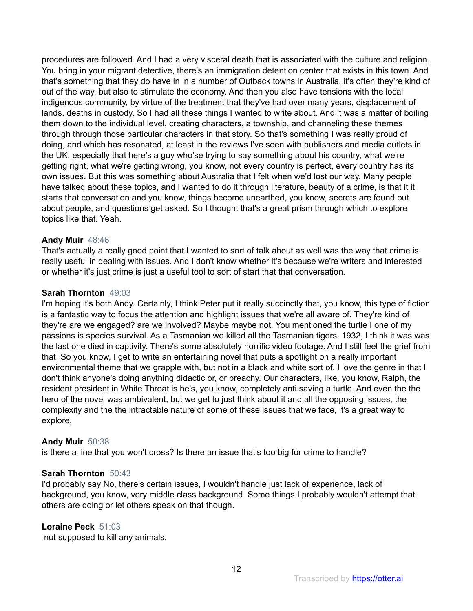procedures are followed. And I had a very visceral death that is associated with the culture and religion. You bring in your migrant detective, there's an immigration detention center that exists in this town. And that's something that they do have in in a number of Outback towns in Australia, it's often they're kind of out of the way, but also to stimulate the economy. And then you also have tensions with the local indigenous community, by virtue of the treatment that they've had over many years, displacement of lands, deaths in custody. So I had all these things I wanted to write about. And it was a matter of boiling them down to the individual level, creating characters, a township, and channeling these themes through through those particular characters in that story. So that's something I was really proud of doing, and which has resonated, at least in the reviews I've seen with publishers and media outlets in the UK, especially that here's a guy who'se trying to say something about his country, what we're getting right, what we're getting wrong, you know, not every country is perfect, every country has its own issues. But this was something about Australia that I felt when we'd lost our way. Many people have talked about these topics, and I wanted to do it through literature, beauty of a crime, is that it it starts that conversation and you know, things become unearthed, you know, secrets are found out about people, and questions get asked. So I thought that's a great prism through which to explore topics like that. Yeah.

## **Andy Muir** 48:46

That's actually a really good point that I wanted to sort of talk about as well was the way that crime is really useful in dealing with issues. And I don't know whether it's because we're writers and interested or whether it's just crime is just a useful tool to sort of start that that conversation.

#### **Sarah Thornton** 49:03

I'm hoping it's both Andy. Certainly, I think Peter put it really succinctly that, you know, this type of fiction is a fantastic way to focus the attention and highlight issues that we're all aware of. They're kind of they're are we engaged? are we involved? Maybe maybe not. You mentioned the turtle I one of my passions is species survival. As a Tasmanian we killed all the Tasmanian tigers. 1932, I think it was was the last one died in captivity. There's some absolutely horrific video footage. And I still feel the grief from that. So you know, I get to write an entertaining novel that puts a spotlight on a really important environmental theme that we grapple with, but not in a black and white sort of, I love the genre in that I don't think anyone's doing anything didactic or, or preachy. Our characters, like, you know, Ralph, the resident president in White Throat is he's, you know, completely anti saving a turtle. And even the the hero of the novel was ambivalent, but we get to just think about it and all the opposing issues, the complexity and the the intractable nature of some of these issues that we face, it's a great way to explore,

## **Andy Muir** 50:38

is there a line that you won't cross? Is there an issue that's too big for crime to handle?

## **Sarah Thornton** 50:43

I'd probably say No, there's certain issues, I wouldn't handle just lack of experience, lack of background, you know, very middle class background. Some things I probably wouldn't attempt that others are doing or let others speak on that though.

## **Loraine Peck** 51:03

not supposed to kill any animals.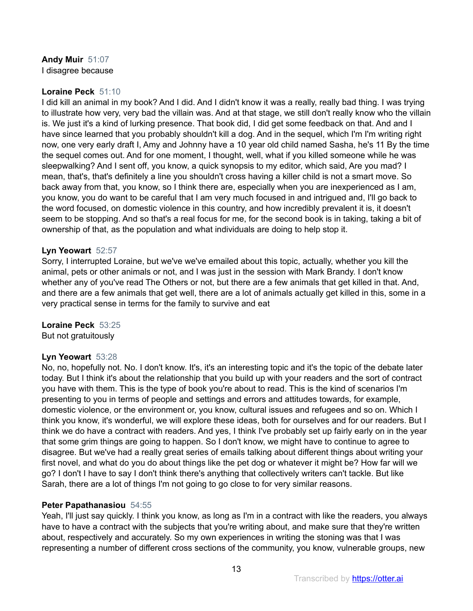#### **Andy Muir** 51:07 I disagree because

## **Loraine Peck** 51:10

I did kill an animal in my book? And I did. And I didn't know it was a really, really bad thing. I was trying to illustrate how very, very bad the villain was. And at that stage, we still don't really know who the villain is. We just it's a kind of lurking presence. That book did, I did get some feedback on that. And and I have since learned that you probably shouldn't kill a dog. And in the sequel, which I'm I'm writing right now, one very early draft I, Amy and Johnny have a 10 year old child named Sasha, he's 11 By the time the sequel comes out. And for one moment, I thought, well, what if you killed someone while he was sleepwalking? And I sent off, you know, a quick synopsis to my editor, which said, Are you mad? I mean, that's, that's definitely a line you shouldn't cross having a killer child is not a smart move. So back away from that, you know, so I think there are, especially when you are inexperienced as I am, you know, you do want to be careful that I am very much focused in and intrigued and, I'll go back to the word focused, on domestic violence in this country, and how incredibly prevalent it is, it doesn't seem to be stopping. And so that's a real focus for me, for the second book is in taking, taking a bit of ownership of that, as the population and what individuals are doing to help stop it.

#### **Lyn Yeowart** 52:57

Sorry, I interrupted Loraine, but we've we've emailed about this topic, actually, whether you kill the animal, pets or other animals or not, and I was just in the session with Mark Brandy. I don't know whether any of you've read The Others or not, but there are a few animals that get killed in that. And, and there are a few animals that get well, there are a lot of animals actually get killed in this, some in a very practical sense in terms for the family to survive and eat

#### **Loraine Peck** 53:25

But not gratuitously

## **Lyn Yeowart** 53:28

No, no, hopefully not. No. I don't know. It's, it's an interesting topic and it's the topic of the debate later today. But I think it's about the relationship that you build up with your readers and the sort of contract you have with them. This is the type of book you're about to read. This is the kind of scenarios I'm presenting to you in terms of people and settings and errors and attitudes towards, for example, domestic violence, or the environment or, you know, cultural issues and refugees and so on. Which I think you know, it's wonderful, we will explore these ideas, both for ourselves and for our readers. But I think we do have a contract with readers. And yes, I think I've probably set up fairly early on in the year that some grim things are going to happen. So I don't know, we might have to continue to agree to disagree. But we've had a really great series of emails talking about different things about writing your first novel, and what do you do about things like the pet dog or whatever it might be? How far will we go? I don't I have to say I don't think there's anything that collectively writers can't tackle. But like Sarah, there are a lot of things I'm not going to go close to for very similar reasons.

## **Peter Papathanasiou** 54:55

Yeah, I'll just say quickly. I think you know, as long as I'm in a contract with like the readers, you always have to have a contract with the subjects that you're writing about, and make sure that they're written about, respectively and accurately. So my own experiences in writing the stoning was that I was representing a number of different cross sections of the community, you know, vulnerable groups, new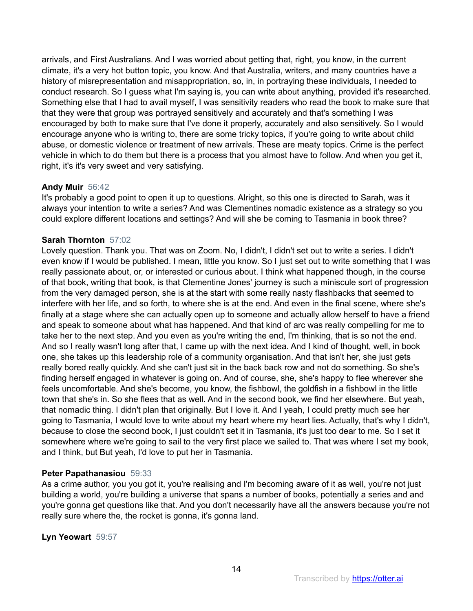arrivals, and First Australians. And I was worried about getting that, right, you know, in the current climate, it's a very hot button topic, you know. And that Australia, writers, and many countries have a history of misrepresentation and misappropriation, so, in, in portraying these individuals, I needed to conduct research. So I guess what I'm saying is, you can write about anything, provided it's researched. Something else that I had to avail myself, I was sensitivity readers who read the book to make sure that that they were that group was portrayed sensitively and accurately and that's something I was encouraged by both to make sure that I've done it properly, accurately and also sensitively. So I would encourage anyone who is writing to, there are some tricky topics, if you're going to write about child abuse, or domestic violence or treatment of new arrivals. These are meaty topics. Crime is the perfect vehicle in which to do them but there is a process that you almost have to follow. And when you get it, right, it's it's very sweet and very satisfying.

# **Andy Muir** 56:42

It's probably a good point to open it up to questions. Alright, so this one is directed to Sarah, was it always your intention to write a series? And was Clementines nomadic existence as a strategy so you could explore different locations and settings? And will she be coming to Tasmania in book three?

# **Sarah Thornton** 57:02

Lovely question. Thank you. That was on Zoom. No, I didn't, I didn't set out to write a series. I didn't even know if I would be published. I mean, little you know. So I just set out to write something that I was really passionate about, or, or interested or curious about. I think what happened though, in the course of that book, writing that book, is that Clementine Jones' journey is such a miniscule sort of progression from the very damaged person, she is at the start with some really nasty flashbacks that seemed to interfere with her life, and so forth, to where she is at the end. And even in the final scene, where she's finally at a stage where she can actually open up to someone and actually allow herself to have a friend and speak to someone about what has happened. And that kind of arc was really compelling for me to take her to the next step. And you even as you're writing the end, I'm thinking, that is so not the end. And so I really wasn't long after that, I came up with the next idea. And I kind of thought, well, in book one, she takes up this leadership role of a community organisation. And that isn't her, she just gets really bored really quickly. And she can't just sit in the back back row and not do something. So she's finding herself engaged in whatever is going on. And of course, she, she's happy to flee wherever she feels uncomfortable. And she's become, you know, the fishbowl, the goldfish in a fishbowl in the little town that she's in. So she flees that as well. And in the second book, we find her elsewhere. But yeah, that nomadic thing. I didn't plan that originally. But I love it. And I yeah, I could pretty much see her going to Tasmania, I would love to write about my heart where my heart lies. Actually, that's why I didn't, because to close the second book, I just couldn't set it in Tasmania, it's just too dear to me. So I set it somewhere where we're going to sail to the very first place we sailed to. That was where I set my book, and I think, but But yeah, I'd love to put her in Tasmania.

# **Peter Papathanasiou** 59:33

As a crime author, you you got it, you're realising and I'm becoming aware of it as well, you're not just building a world, you're building a universe that spans a number of books, potentially a series and and you're gonna get questions like that. And you don't necessarily have all the answers because you're not really sure where the, the rocket is gonna, it's gonna land.

**Lyn Yeowart** 59:57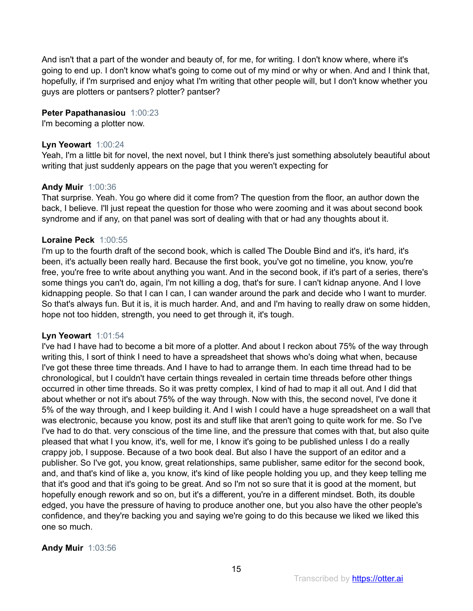And isn't that a part of the wonder and beauty of, for me, for writing. I don't know where, where it's going to end up. I don't know what's going to come out of my mind or why or when. And and I think that, hopefully, if I'm surprised and enjoy what I'm writing that other people will, but I don't know whether you guys are plotters or pantsers? plotter? pantser?

## **Peter Papathanasiou** 1:00:23

I'm becoming a plotter now.

#### **Lyn Yeowart** 1:00:24

Yeah, I'm a little bit for novel, the next novel, but I think there's just something absolutely beautiful about writing that just suddenly appears on the page that you weren't expecting for

#### **Andy Muir** 1:00:36

That surprise. Yeah. You go where did it come from? The question from the floor, an author down the back, I believe. I'll just repeat the question for those who were zooming and it was about second book syndrome and if any, on that panel was sort of dealing with that or had any thoughts about it.

#### **Loraine Peck** 1:00:55

I'm up to the fourth draft of the second book, which is called The Double Bind and it's, it's hard, it's been, it's actually been really hard. Because the first book, you've got no timeline, you know, you're free, you're free to write about anything you want. And in the second book, if it's part of a series, there's some things you can't do, again, I'm not killing a dog, that's for sure. I can't kidnap anyone. And I love kidnapping people. So that I can I can, I can wander around the park and decide who I want to murder. So that's always fun. But it is, it is much harder. And, and and I'm having to really draw on some hidden, hope not too hidden, strength, you need to get through it, it's tough.

#### **Lyn Yeowart** 1:01:54

I've had I have had to become a bit more of a plotter. And about I reckon about 75% of the way through writing this, I sort of think I need to have a spreadsheet that shows who's doing what when, because I've got these three time threads. And I have to had to arrange them. In each time thread had to be chronological, but I couldn't have certain things revealed in certain time threads before other things occurred in other time threads. So it was pretty complex, I kind of had to map it all out. And I did that about whether or not it's about 75% of the way through. Now with this, the second novel, I've done it 5% of the way through, and I keep building it. And I wish I could have a huge spreadsheet on a wall that was electronic, because you know, post its and stuff like that aren't going to quite work for me. So I've I've had to do that. very conscious of the time line, and the pressure that comes with that, but also quite pleased that what I you know, it's, well for me, I know it's going to be published unless I do a really crappy job, I suppose. Because of a two book deal. But also I have the support of an editor and a publisher. So I've got, you know, great relationships, same publisher, same editor for the second book, and, and that's kind of like a, you know, it's kind of like people holding you up, and they keep telling me that it's good and that it's going to be great. And so I'm not so sure that it is good at the moment, but hopefully enough rework and so on, but it's a different, you're in a different mindset. Both, its double edged, you have the pressure of having to produce another one, but you also have the other people's confidence, and they're backing you and saying we're going to do this because we liked we liked this one so much.

#### **Andy Muir** 1:03:56